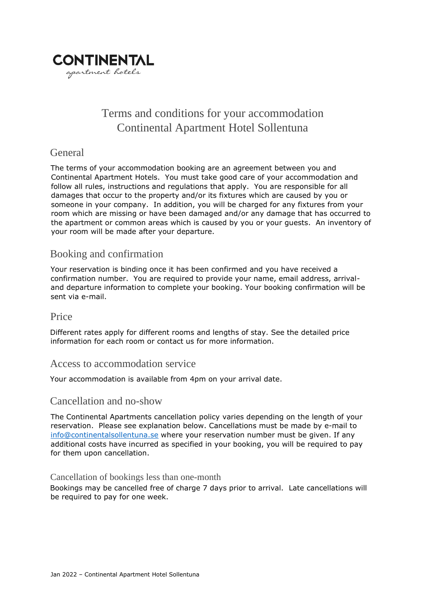

# Terms and conditions for your accommodation Continental Apartment Hotel Sollentuna

## **General**

The terms of your accommodation booking are an agreement between you and Continental Apartment Hotels. You must take good care of your accommodation and follow all rules, instructions and regulations that apply. You are responsible for all damages that occur to the property and/or its fixtures which are caused by you or someone in your company. In addition, you will be charged for any fixtures from your room which are missing or have been damaged and/or any damage that has occurred to the apartment or common areas which is caused by you or your guests. An inventory of your room will be made after your departure.

## Booking and confirmation

Your reservation is binding once it has been confirmed and you have received a confirmation number. You are required to provide your name, email address, arrivaland departure information to complete your booking. Your booking confirmation will be sent via e-mail.

#### Price

Different rates apply for different rooms and lengths of stay. See the detailed price information for each room or contact us for more information.

#### Access to accommodation service

Your accommodation is available from 4pm on your arrival date.

#### Cancellation and no-show

The Continental Apartments cancellation policy varies depending on the length of your reservation. Please see explanation below. Cancellations must be made by e-mail to [info@continentalsollentuna.se](mailto:info@continentalsollentuna.se) where your reservation number must be given. If any additional costs have incurred as specified in your booking, you will be required to pay for them upon cancellation.

#### Cancellation of bookings less than one-month

Bookings may be cancelled free of charge 7 days prior to arrival. Late cancellations will be required to pay for one week.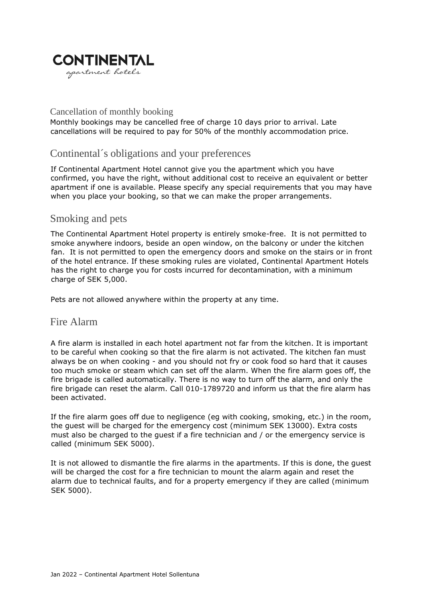

#### Cancellation of monthly booking

Monthly bookings may be cancelled free of charge 10 days prior to arrival. Late cancellations will be required to pay for 50% of the monthly accommodation price.

## Continental´s obligations and your preferences

If Continental Apartment Hotel cannot give you the apartment which you have confirmed, you have the right, without additional cost to receive an equivalent or better apartment if one is available. Please specify any special requirements that you may have when you place your booking, so that we can make the proper arrangements.

#### Smoking and pets

The Continental Apartment Hotel property is entirely smoke-free. It is not permitted to smoke anywhere indoors, beside an open window, on the balcony or under the kitchen fan. It is not permitted to open the emergency doors and smoke on the stairs or in front of the hotel entrance. If these smoking rules are violated, Continental Apartment Hotels has the right to charge you for costs incurred for decontamination, with a minimum charge of SEK 5,000.

Pets are not allowed anywhere within the property at any time.

#### Fire Alarm

A fire alarm is installed in each hotel apartment not far from the kitchen. It is important to be careful when cooking so that the fire alarm is not activated. The kitchen fan must always be on when cooking - and you should not fry or cook food so hard that it causes too much smoke or steam which can set off the alarm. When the fire alarm goes off, the fire brigade is called automatically. There is no way to turn off the alarm, and only the fire brigade can reset the alarm. Call 010-1789720 and inform us that the fire alarm has been activated.

If the fire alarm goes off due to negligence (eg with cooking, smoking, etc.) in the room, the guest will be charged for the emergency cost (minimum SEK 13000). Extra costs must also be charged to the guest if a fire technician and / or the emergency service is called (minimum SEK 5000).

It is not allowed to dismantle the fire alarms in the apartments. If this is done, the guest will be charged the cost for a fire technician to mount the alarm again and reset the alarm due to technical faults, and for a property emergency if they are called (minimum SEK 5000).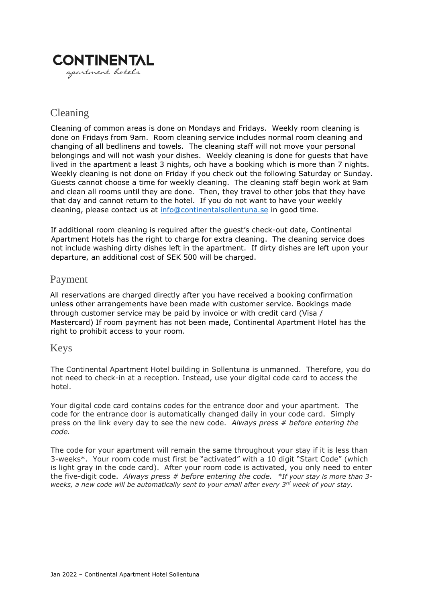

## Cleaning

Cleaning of common areas is done on Mondays and Fridays. Weekly room cleaning is done on Fridays from 9am. Room cleaning service includes normal room cleaning and changing of all bedlinens and towels. The cleaning staff will not move your personal belongings and will not wash your dishes. Weekly cleaning is done for guests that have lived in the apartment a least 3 nights, och have a booking which is more than 7 nights. Weekly cleaning is not done on Friday if you check out the following Saturday or Sunday. Guests cannot choose a time for weekly cleaning. The cleaning staff begin work at 9am and clean all rooms until they are done. Then, they travel to other jobs that they have that day and cannot return to the hotel. If you do not want to have your weekly cleaning, please contact us at [info@continentalsollentuna.se](mailto:info@continentalsollentuna.se) in good time.

If additional room cleaning is required after the guest's check-out date, Continental Apartment Hotels has the right to charge for extra cleaning. The cleaning service does not include washing dirty dishes left in the apartment. If dirty dishes are left upon your departure, an additional cost of SEK 500 will be charged.

### Payment

All reservations are charged directly after you have received a booking confirmation unless other arrangements have been made with customer service. Bookings made through customer service may be paid by invoice or with credit card (Visa / Mastercard) If room payment has not been made, Continental Apartment Hotel has the right to prohibit access to your room.

#### Keys

The Continental Apartment Hotel building in Sollentuna is unmanned. Therefore, you do not need to check-in at a reception. Instead, use your digital code card to access the hotel.

Your digital code card contains codes for the entrance door and your apartment. The code for the entrance door is automatically changed daily in your code card. Simply press on the link every day to see the new code. *Always press # before entering the code.*

The code for your apartment will remain the same throughout your stay if it is less than 3-weeks\*. Your room code must first be "activated" with a 10 digit "Start Code" (which is light gray in the code card). After your room code is activated, you only need to enter the five-digit code. *Always press # before entering the code. \*If your stay is more than 3 weeks, a new code will be automatically sent to your email after every 3rd week of your stay.*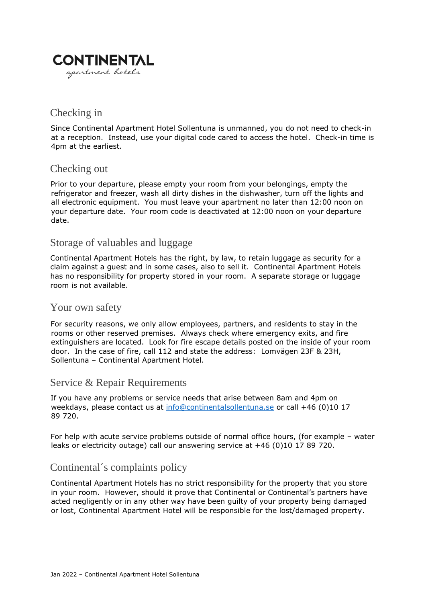

## Checking in

Since Continental Apartment Hotel Sollentuna is unmanned, you do not need to check-in at a reception. Instead, use your digital code cared to access the hotel. Check-in time is 4pm at the earliest.

### Checking out

Prior to your departure, please empty your room from your belongings, empty the refrigerator and freezer, wash all dirty dishes in the dishwasher, turn off the lights and all electronic equipment. You must leave your apartment no later than 12:00 noon on your departure date. Your room code is deactivated at 12:00 noon on your departure date.

### Storage of valuables and luggage

Continental Apartment Hotels has the right, by law, to retain luggage as security for a claim against a guest and in some cases, also to sell it. Continental Apartment Hotels has no responsibility for property stored in your room. A separate storage or luggage room is not available.

#### Your own safety

For security reasons, we only allow employees, partners, and residents to stay in the rooms or other reserved premises. Always check where emergency exits, and fire extinguishers are located. Look for fire escape details posted on the inside of your room door. In the case of fire, call 112 and state the address: Lomvägen 23F & 23H, Sollentuna – Continental Apartment Hotel.

## Service & Repair Requirements

If you have any problems or service needs that arise between 8am and 4pm on weekdays, please contact us at [info@continentalsollentuna.se](mailto:info@continentalsollentuna.se) or call +46 (0)10 17 89 720.

For help with acute service problems outside of normal office hours, (for example – water leaks or electricity outage) call our answering service at +46 (0)10 17 89 720.

## Continental´s complaints policy

Continental Apartment Hotels has no strict responsibility for the property that you store in your room. However, should it prove that Continental or Continental's partners have acted negligently or in any other way have been guilty of your property being damaged or lost, Continental Apartment Hotel will be responsible for the lost/damaged property.